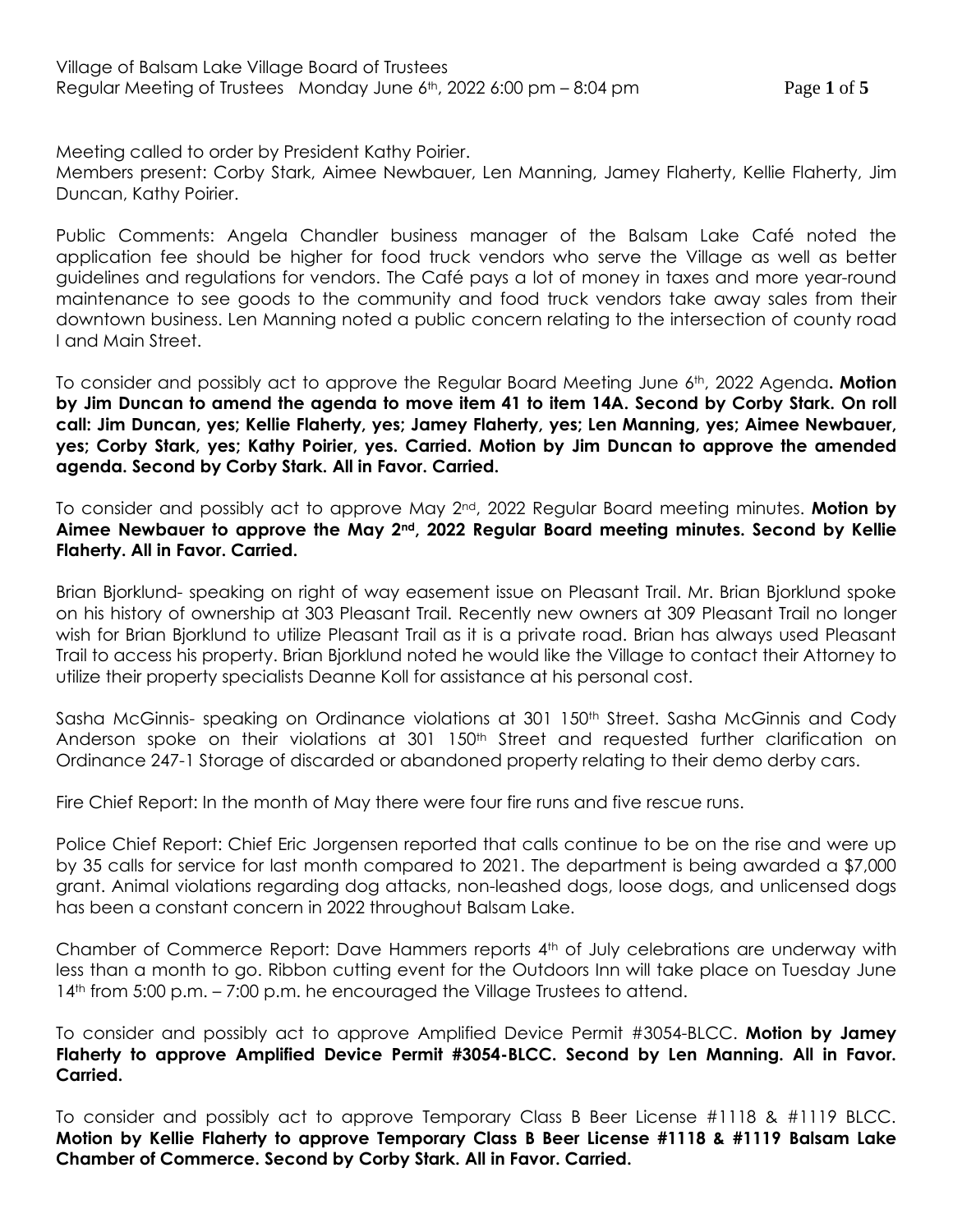Meeting called to order by President Kathy Poirier.

Members present: Corby Stark, Aimee Newbauer, Len Manning, Jamey Flaherty, Kellie Flaherty, Jim Duncan, Kathy Poirier.

Public Comments: Angela Chandler business manager of the Balsam Lake Café noted the application fee should be higher for food truck vendors who serve the Village as well as better guidelines and regulations for vendors. The Café pays a lot of money in taxes and more year-round maintenance to see goods to the community and food truck vendors take away sales from their downtown business. Len Manning noted a public concern relating to the intersection of county road I and Main Street.

To consider and possibly act to approve the Regular Board Meeting June 6th, 2022 Agenda**. Motion by Jim Duncan to amend the agenda to move item 41 to item 14A. Second by Corby Stark. On roll call: Jim Duncan, yes; Kellie Flaherty, yes; Jamey Flaherty, yes; Len Manning, yes; Aimee Newbauer, yes; Corby Stark, yes; Kathy Poirier, yes. Carried. Motion by Jim Duncan to approve the amended agenda. Second by Corby Stark. All in Favor. Carried.**

To consider and possibly act to approve May 2nd, 2022 Regular Board meeting minutes. **Motion by Aimee Newbauer to approve the May 2nd, 2022 Regular Board meeting minutes. Second by Kellie Flaherty. All in Favor. Carried.**

Brian Bjorklund- speaking on right of way easement issue on Pleasant Trail. Mr. Brian Bjorklund spoke on his history of ownership at 303 Pleasant Trail. Recently new owners at 309 Pleasant Trail no longer wish for Brian Bjorklund to utilize Pleasant Trail as it is a private road. Brian has always used Pleasant Trail to access his property. Brian Bjorklund noted he would like the Village to contact their Attorney to utilize their property specialists Deanne Koll for assistance at his personal cost.

Sasha McGinnis- speaking on Ordinance violations at 301 150<sup>th</sup> Street. Sasha McGinnis and Cody Anderson spoke on their violations at 301 150<sup>th</sup> Street and requested further clarification on Ordinance 247-1 Storage of discarded or abandoned property relating to their demo derby cars.

Fire Chief Report: In the month of May there were four fire runs and five rescue runs.

Police Chief Report: Chief Eric Jorgensen reported that calls continue to be on the rise and were up by 35 calls for service for last month compared to 2021. The department is being awarded a \$7,000 grant. Animal violations regarding dog attacks, non-leashed dogs, loose dogs, and unlicensed dogs has been a constant concern in 2022 throughout Balsam Lake.

Chamber of Commerce Report: Dave Hammers reports 4th of July celebrations are underway with less than a month to go. Ribbon cutting event for the Outdoors Inn will take place on Tuesday June 14<sup>th</sup> from 5:00 p.m. – 7:00 p.m. he encouraged the Village Trustees to attend.

To consider and possibly act to approve Amplified Device Permit #3054-BLCC. **Motion by Jamey Flaherty to approve Amplified Device Permit #3054-BLCC. Second by Len Manning. All in Favor. Carried.** 

To consider and possibly act to approve Temporary Class B Beer License #1118 & #1119 BLCC. **Motion by Kellie Flaherty to approve Temporary Class B Beer License #1118 & #1119 Balsam Lake Chamber of Commerce. Second by Corby Stark. All in Favor. Carried.**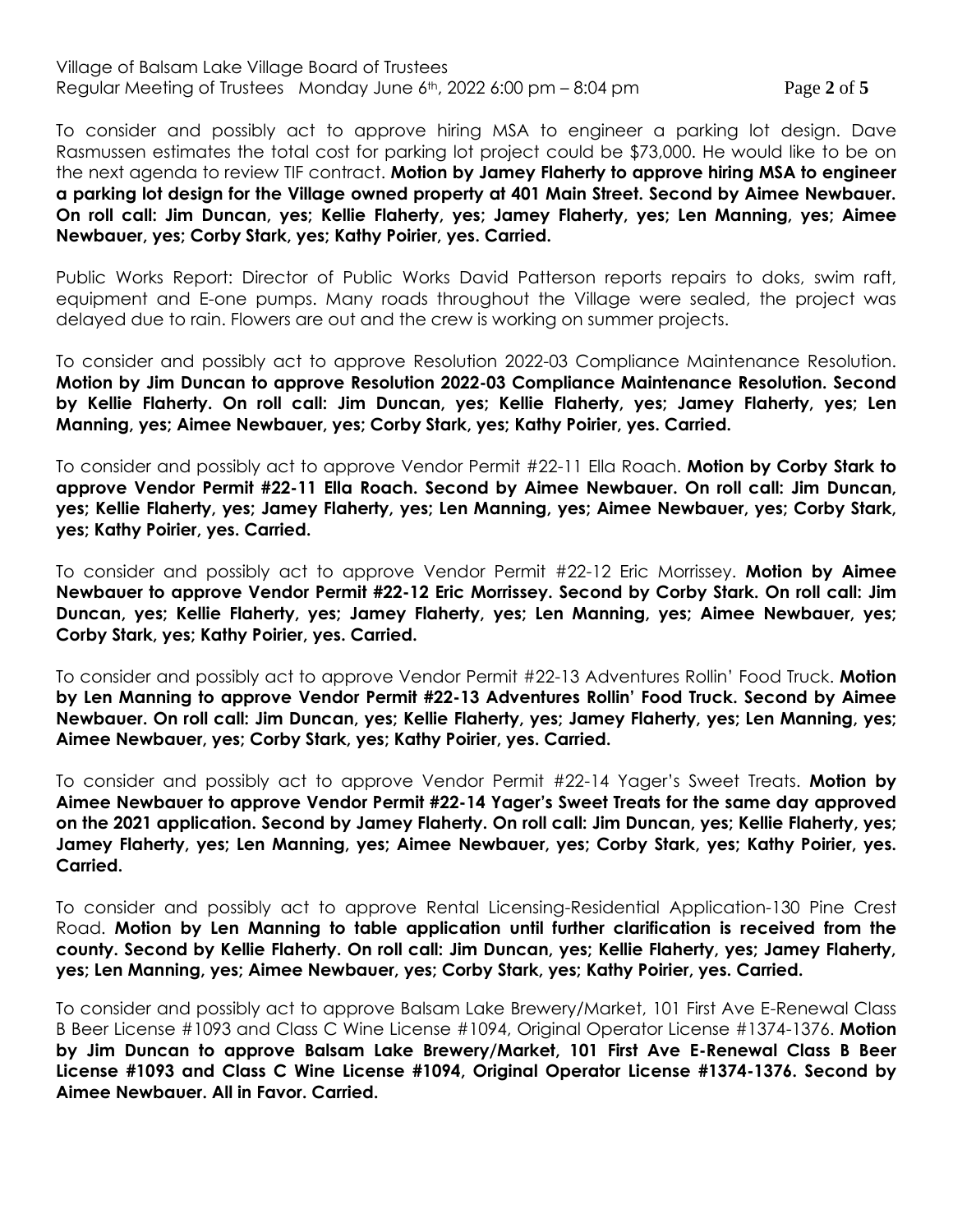## Village of Balsam Lake Village Board of Trustees Regular Meeting of Trustees Monday June 6th, 2022 6:00 pm – 8:04 pm Page **2** of **5**

To consider and possibly act to approve hiring MSA to engineer a parking lot design. Dave Rasmussen estimates the total cost for parking lot project could be \$73,000. He would like to be on the next agenda to review TIF contract. **Motion by Jamey Flaherty to approve hiring MSA to engineer a parking lot design for the Village owned property at 401 Main Street. Second by Aimee Newbauer. On roll call: Jim Duncan, yes; Kellie Flaherty, yes; Jamey Flaherty, yes; Len Manning, yes; Aimee Newbauer, yes; Corby Stark, yes; Kathy Poirier, yes. Carried.**

Public Works Report: Director of Public Works David Patterson reports repairs to doks, swim raft, equipment and E-one pumps. Many roads throughout the Village were sealed, the project was delayed due to rain. Flowers are out and the crew is working on summer projects.

To consider and possibly act to approve Resolution 2022-03 Compliance Maintenance Resolution. **Motion by Jim Duncan to approve Resolution 2022-03 Compliance Maintenance Resolution. Second by Kellie Flaherty. On roll call: Jim Duncan, yes; Kellie Flaherty, yes; Jamey Flaherty, yes; Len Manning, yes; Aimee Newbauer, yes; Corby Stark, yes; Kathy Poirier, yes. Carried.**

To consider and possibly act to approve Vendor Permit #22-11 Ella Roach. **Motion by Corby Stark to approve Vendor Permit #22-11 Ella Roach. Second by Aimee Newbauer. On roll call: Jim Duncan, yes; Kellie Flaherty, yes; Jamey Flaherty, yes; Len Manning, yes; Aimee Newbauer, yes; Corby Stark, yes; Kathy Poirier, yes. Carried.**

To consider and possibly act to approve Vendor Permit #22-12 Eric Morrissey. **Motion by Aimee Newbauer to approve Vendor Permit #22-12 Eric Morrissey. Second by Corby Stark. On roll call: Jim Duncan, yes; Kellie Flaherty, yes; Jamey Flaherty, yes; Len Manning, yes; Aimee Newbauer, yes; Corby Stark, yes; Kathy Poirier, yes. Carried.**

To consider and possibly act to approve Vendor Permit #22-13 Adventures Rollin' Food Truck. **Motion by Len Manning to approve Vendor Permit #22-13 Adventures Rollin' Food Truck. Second by Aimee Newbauer. On roll call: Jim Duncan, yes; Kellie Flaherty, yes; Jamey Flaherty, yes; Len Manning, yes; Aimee Newbauer, yes; Corby Stark, yes; Kathy Poirier, yes. Carried.**

To consider and possibly act to approve Vendor Permit #22-14 Yager's Sweet Treats. **Motion by Aimee Newbauer to approve Vendor Permit #22-14 Yager's Sweet Treats for the same day approved on the 2021 application. Second by Jamey Flaherty. On roll call: Jim Duncan, yes; Kellie Flaherty, yes; Jamey Flaherty, yes; Len Manning, yes; Aimee Newbauer, yes; Corby Stark, yes; Kathy Poirier, yes. Carried.**

To consider and possibly act to approve Rental Licensing-Residential Application-130 Pine Crest Road. **Motion by Len Manning to table application until further clarification is received from the county. Second by Kellie Flaherty. On roll call: Jim Duncan, yes; Kellie Flaherty, yes; Jamey Flaherty, yes; Len Manning, yes; Aimee Newbauer, yes; Corby Stark, yes; Kathy Poirier, yes. Carried.**

To consider and possibly act to approve Balsam Lake Brewery/Market, 101 First Ave E-Renewal Class B Beer License #1093 and Class C Wine License #1094, Original Operator License #1374-1376. **Motion by Jim Duncan to approve Balsam Lake Brewery/Market, 101 First Ave E-Renewal Class B Beer License #1093 and Class C Wine License #1094, Original Operator License #1374-1376. Second by Aimee Newbauer. All in Favor. Carried.**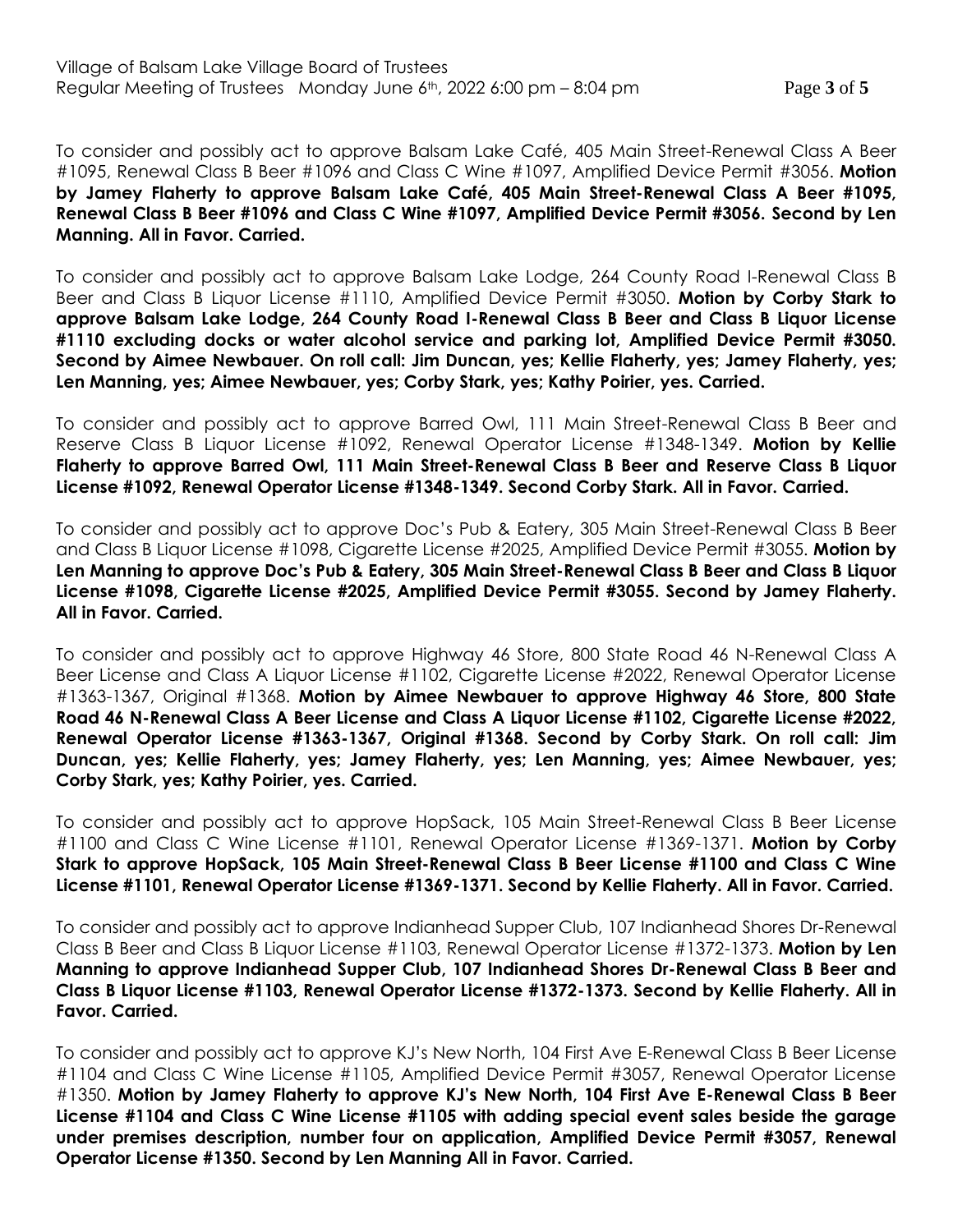To consider and possibly act to approve Balsam Lake Café, 405 Main Street-Renewal Class A Beer #1095, Renewal Class B Beer #1096 and Class C Wine #1097, Amplified Device Permit #3056. **Motion by Jamey Flaherty to approve Balsam Lake Café, 405 Main Street-Renewal Class A Beer #1095, Renewal Class B Beer #1096 and Class C Wine #1097, Amplified Device Permit #3056. Second by Len Manning. All in Favor. Carried.**

To consider and possibly act to approve Balsam Lake Lodge, 264 County Road I-Renewal Class B Beer and Class B Liquor License #1110, Amplified Device Permit #3050. **Motion by Corby Stark to approve Balsam Lake Lodge, 264 County Road I-Renewal Class B Beer and Class B Liquor License #1110 excluding docks or water alcohol service and parking lot, Amplified Device Permit #3050. Second by Aimee Newbauer. On roll call: Jim Duncan, yes; Kellie Flaherty, yes; Jamey Flaherty, yes; Len Manning, yes; Aimee Newbauer, yes; Corby Stark, yes; Kathy Poirier, yes. Carried.**

To consider and possibly act to approve Barred Owl, 111 Main Street-Renewal Class B Beer and Reserve Class B Liquor License #1092, Renewal Operator License #1348-1349. **Motion by Kellie Flaherty to approve Barred Owl, 111 Main Street-Renewal Class B Beer and Reserve Class B Liquor License #1092, Renewal Operator License #1348-1349. Second Corby Stark. All in Favor. Carried.**

To consider and possibly act to approve Doc's Pub & Eatery, 305 Main Street-Renewal Class B Beer and Class B Liquor License #1098, Cigarette License #2025, Amplified Device Permit #3055. **Motion by Len Manning to approve Doc's Pub & Eatery, 305 Main Street-Renewal Class B Beer and Class B Liquor License #1098, Cigarette License #2025, Amplified Device Permit #3055. Second by Jamey Flaherty. All in Favor. Carried.**

To consider and possibly act to approve Highway 46 Store, 800 State Road 46 N-Renewal Class A Beer License and Class A Liquor License #1102, Cigarette License #2022, Renewal Operator License #1363-1367, Original #1368. **Motion by Aimee Newbauer to approve Highway 46 Store, 800 State Road 46 N-Renewal Class A Beer License and Class A Liquor License #1102, Cigarette License #2022, Renewal Operator License #1363-1367, Original #1368. Second by Corby Stark. On roll call: Jim Duncan, yes; Kellie Flaherty, yes; Jamey Flaherty, yes; Len Manning, yes; Aimee Newbauer, yes; Corby Stark, yes; Kathy Poirier, yes. Carried.**

To consider and possibly act to approve HopSack, 105 Main Street-Renewal Class B Beer License #1100 and Class C Wine License #1101, Renewal Operator License #1369-1371. **Motion by Corby Stark to approve HopSack, 105 Main Street-Renewal Class B Beer License #1100 and Class C Wine License #1101, Renewal Operator License #1369-1371. Second by Kellie Flaherty. All in Favor. Carried.**

To consider and possibly act to approve Indianhead Supper Club, 107 Indianhead Shores Dr-Renewal Class B Beer and Class B Liquor License #1103, Renewal Operator License #1372-1373. **Motion by Len Manning to approve Indianhead Supper Club, 107 Indianhead Shores Dr-Renewal Class B Beer and Class B Liquor License #1103, Renewal Operator License #1372-1373. Second by Kellie Flaherty. All in Favor. Carried.** 

To consider and possibly act to approve KJ's New North, 104 First Ave E-Renewal Class B Beer License #1104 and Class C Wine License #1105, Amplified Device Permit #3057, Renewal Operator License #1350. **Motion by Jamey Flaherty to approve KJ's New North, 104 First Ave E-Renewal Class B Beer License #1104 and Class C Wine License #1105 with adding special event sales beside the garage under premises description, number four on application, Amplified Device Permit #3057, Renewal Operator License #1350. Second by Len Manning All in Favor. Carried.**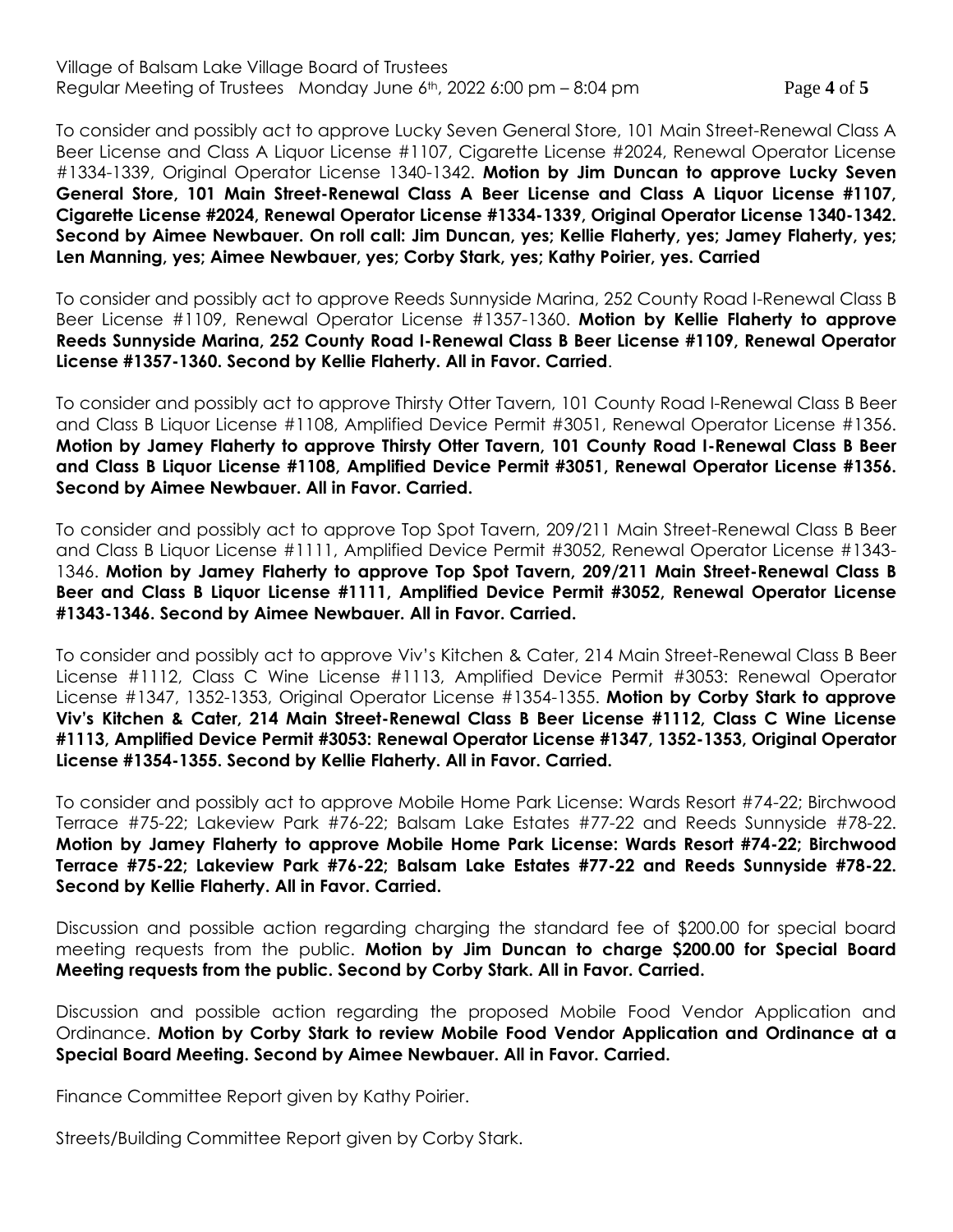## Village of Balsam Lake Village Board of Trustees Regular Meeting of Trustees Monday June 6th, 2022 6:00 pm – 8:04 pm Page **4** of **5**

To consider and possibly act to approve Lucky Seven General Store, 101 Main Street-Renewal Class A Beer License and Class A Liquor License #1107, Cigarette License #2024, Renewal Operator License #1334-1339, Original Operator License 1340-1342. **Motion by Jim Duncan to approve Lucky Seven General Store, 101 Main Street-Renewal Class A Beer License and Class A Liquor License #1107, Cigarette License #2024, Renewal Operator License #1334-1339, Original Operator License 1340-1342. Second by Aimee Newbauer. On roll call: Jim Duncan, yes; Kellie Flaherty, yes; Jamey Flaherty, yes; Len Manning, yes; Aimee Newbauer, yes; Corby Stark, yes; Kathy Poirier, yes. Carried**

To consider and possibly act to approve Reeds Sunnyside Marina, 252 County Road I-Renewal Class B Beer License #1109, Renewal Operator License #1357-1360. **Motion by Kellie Flaherty to approve Reeds Sunnyside Marina, 252 County Road I-Renewal Class B Beer License #1109, Renewal Operator License #1357-1360. Second by Kellie Flaherty. All in Favor. Carried**.

To consider and possibly act to approve Thirsty Otter Tavern, 101 County Road I-Renewal Class B Beer and Class B Liquor License #1108, Amplified Device Permit #3051, Renewal Operator License #1356. **Motion by Jamey Flaherty to approve Thirsty Otter Tavern, 101 County Road I-Renewal Class B Beer and Class B Liquor License #1108, Amplified Device Permit #3051, Renewal Operator License #1356. Second by Aimee Newbauer. All in Favor. Carried.** 

To consider and possibly act to approve Top Spot Tavern, 209/211 Main Street-Renewal Class B Beer and Class B Liquor License #1111, Amplified Device Permit #3052, Renewal Operator License #1343- 1346. **Motion by Jamey Flaherty to approve Top Spot Tavern, 209/211 Main Street-Renewal Class B Beer and Class B Liquor License #1111, Amplified Device Permit #3052, Renewal Operator License #1343-1346. Second by Aimee Newbauer. All in Favor. Carried.**

To consider and possibly act to approve Viv's Kitchen & Cater, 214 Main Street-Renewal Class B Beer License #1112, Class C Wine License #1113, Amplified Device Permit #3053: Renewal Operator License #1347, 1352-1353, Original Operator License #1354-1355. **Motion by Corby Stark to approve Viv's Kitchen & Cater, 214 Main Street-Renewal Class B Beer License #1112, Class C Wine License #1113, Amplified Device Permit #3053: Renewal Operator License #1347, 1352-1353, Original Operator License #1354-1355. Second by Kellie Flaherty. All in Favor. Carried.**

To consider and possibly act to approve Mobile Home Park License: Wards Resort #74-22; Birchwood Terrace #75-22; Lakeview Park #76-22; Balsam Lake Estates #77-22 and Reeds Sunnyside #78-22. **Motion by Jamey Flaherty to approve Mobile Home Park License: Wards Resort #74-22; Birchwood Terrace #75-22; Lakeview Park #76-22; Balsam Lake Estates #77-22 and Reeds Sunnyside #78-22. Second by Kellie Flaherty. All in Favor. Carried.**

Discussion and possible action regarding charging the standard fee of \$200.00 for special board meeting requests from the public. **Motion by Jim Duncan to charge \$200.00 for Special Board Meeting requests from the public. Second by Corby Stark. All in Favor. Carried.**

Discussion and possible action regarding the proposed Mobile Food Vendor Application and Ordinance. **Motion by Corby Stark to review Mobile Food Vendor Application and Ordinance at a Special Board Meeting. Second by Aimee Newbauer. All in Favor. Carried.**

Finance Committee Report given by Kathy Poirier.

Streets/Building Committee Report given by Corby Stark.